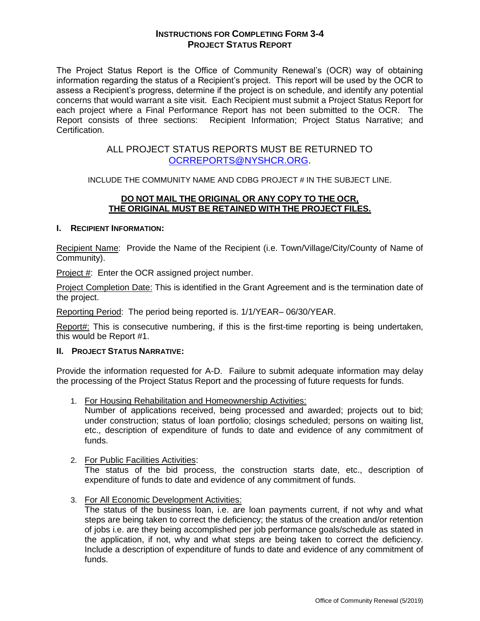# **INSTRUCTIONS FOR COMPLETING FORM 3-4 PROJECT STATUS REPORT**

The Project Status Report is the Office of Community Renewal's (OCR) way of obtaining information regarding the status of a Recipient's project. This report will be used by the OCR to assess a Recipient's progress, determine if the project is on schedule, and identify any potential concerns that would warrant a site visit. Each Recipient must submit a Project Status Report for each project where a Final Performance Report has not been submitted to the OCR. The Report consists of three sections: Recipient Information; Project Status Narrative; and Certification.

# ALL PROJECT STATUS REPORTS MUST BE RETURNED TO [OCRREPORTS@NYSHCR.ORG.](mailto:OCRREPORTS@NYSHCR.ORG)

INCLUDE THE COMMUNITY NAME AND CDBG PROJECT # IN THE SUBJECT LINE.

## **DO NOT MAIL THE ORIGINAL OR ANY COPY TO THE OCR, THE ORIGINAL MUST BE RETAINED WITH THE PROJECT FILES.**

## **I. RECIPIENT INFORMATION:**

Recipient Name: Provide the Name of the Recipient (i.e. Town/Village/City/County of Name of Community).

Project #: Enter the OCR assigned project number.

Project Completion Date: This is identified in the Grant Agreement and is the termination date of the project.

Reporting Period: The period being reported is. 1/1/YEAR– 06/30/YEAR.

Report#: This is consecutive numbering, if this is the first-time reporting is being undertaken, this would be Report #1.

### **II. PROJECT STATUS NARRATIVE:**

Provide the information requested for A-D. Failure to submit adequate information may delay the processing of the Project Status Report and the processing of future requests for funds.

1. For Housing Rehabilitation and Homeownership Activities:

Number of applications received, being processed and awarded; projects out to bid; under construction; status of loan portfolio; closings scheduled; persons on waiting list, etc., description of expenditure of funds to date and evidence of any commitment of funds.

### 2. For Public Facilities Activities:

The status of the bid process, the construction starts date, etc., description of expenditure of funds to date and evidence of any commitment of funds.

3. For All Economic Development Activities:

The status of the business loan, i.e. are loan payments current, if not why and what steps are being taken to correct the deficiency; the status of the creation and/or retention of jobs i.e. are they being accomplished per job performance goals/schedule as stated in the application, if not, why and what steps are being taken to correct the deficiency. Include a description of expenditure of funds to date and evidence of any commitment of funds.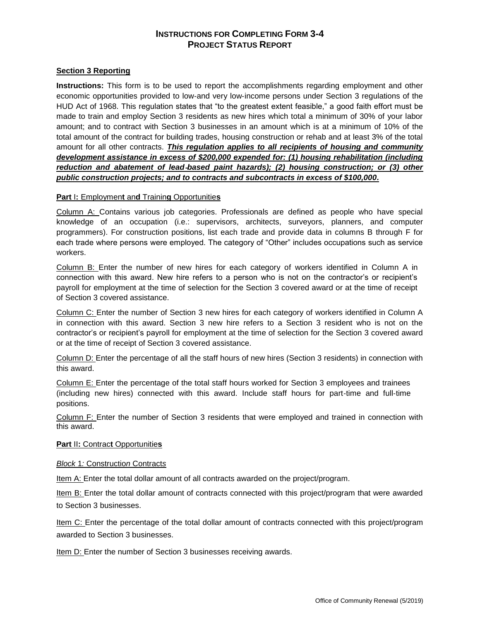# **INSTRUCTIONS FOR COMPLETING FORM 3-4 PROJECT STATUS REPORT**

### **Section 3 Reporting**

**Instructions:** This form is to be used to report the accomplishments regarding employment and other economic opportunities provided to low‐and very low‐income persons under Section 3 regulations of the HUD Act of 1968. This regulation states that "to the greatest extent feasible," a good faith effort must be made to train and employ Section 3 residents as new hires which total a minimum of 30% of your labor amount; and to contract with Section 3 businesses in an amount which is at a minimum of 10% of the total amount of the contract for building trades, housing construction or rehab and at least 3% of the total amount for all other contracts. *This regulation applies to all recipients of housing and community development assistance in excess of \$200,000 expended for: (1) housing rehabilitation (including reduction and abatement of lead*‐*based paint hazards); (2) housing construction; or (3) other public construction projects; and to contracts and subcontracts in excess of \$100,000.* 

### **Part** I**:** Employmen**t** an**d** Trainin**g** Opportunitie**s**

Column A: Contains various job categories. Professionals are defined as people who have special knowledge of an occupation (i.e.: supervisors, architects, surveyors, planners, and computer programmers). For construction positions, list each trade and provide data in columns B through F for each trade where persons were employed. The category of "Other" includes occupations such as service workers.

Column B: Enter the number of new hires for each category of workers identified in Column A in connection with this award. New hire refers to a person who is not on the contractor's or recipient's payroll for employment at the time of selection for the Section 3 covered award or at the time of receipt of Section 3 covered assistance.

Column C: Enter the number of Section 3 new hires for each category of workers identified in Column A in connection with this award. Section 3 new hire refers to a Section 3 resident who is not on the contractor's or recipient's payroll for employment at the time of selection for the Section 3 covered award or at the time of receipt of Section 3 covered assistance.

Column D: Enter the percentage of all the staff hours of new hires (Section 3 residents) in connection with this award.

Column E: Enter the percentage of the total staff hours worked for Section 3 employees and trainees (including new hires) connected with this award. Include staff hours for part‐time and full‐time positions.

Column F: Enter the number of Section 3 residents that were employed and trained in connection with this award.

#### **Part** II**:** Contrac**t** Opportunitie**s**

#### *Block* 1*:* Constructio*n* Contract*s*

Item A: Enter the total dollar amount of all contracts awarded on the project/program.

Item B: Enter the total dollar amount of contracts connected with this project/program that were awarded to Section 3 businesses.

Item C: Enter the percentage of the total dollar amount of contracts connected with this project/program awarded to Section 3 businesses.

Item D: Enter the number of Section 3 businesses receiving awards.